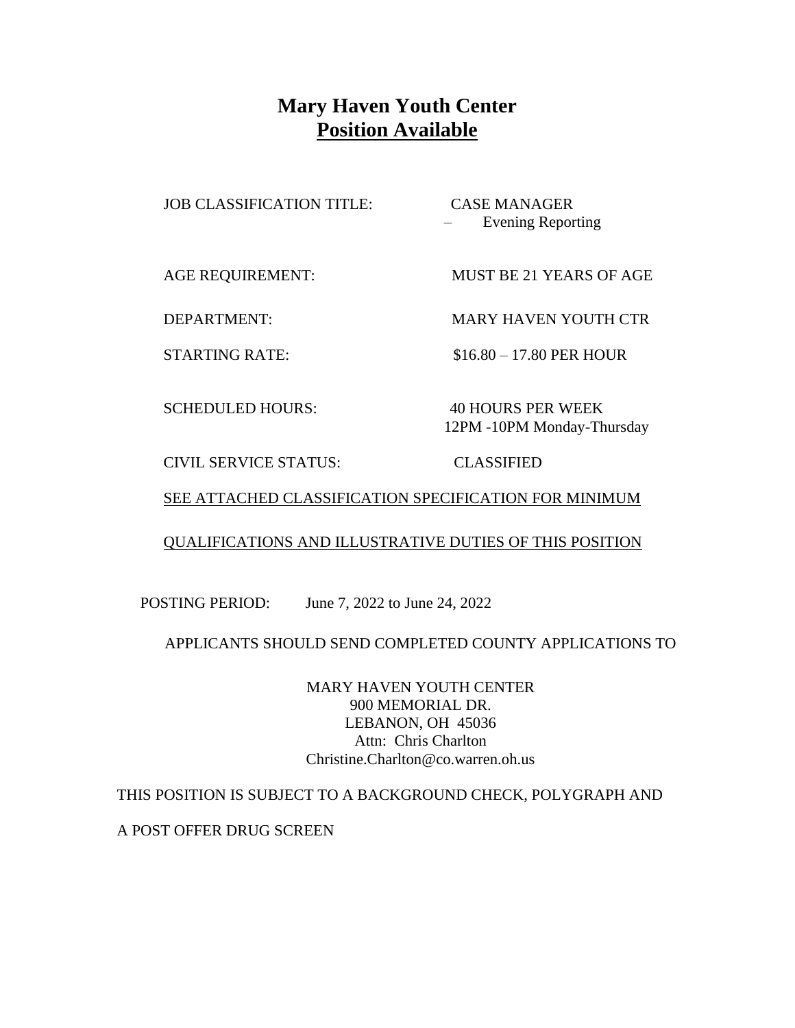# **Mary Haven Youth Center Position Available**

JOB CLASSIFICATION TITLE: CASE MANAGER

– Evening Reporting

AGE REQUIREMENT: MUST BE 21 YEARS OF AGE

DEPARTMENT: MARY HAVEN YOUTH CTR

STARTING RATE: \$16.80 – 17.80 PER HOUR

SCHEDULED HOURS: 40 HOURS PER WEEK

12PM -10PM Monday-Thursday

CIVIL SERVICE STATUS: CLASSIFIED

## SEE ATTACHED CLASSIFICATION SPECIFICATION FOR MINIMUM

## QUALIFICATIONS AND ILLUSTRATIVE DUTIES OF THIS POSITION

POSTING PERIOD: June 7, 2022 to June 24, 2022

APPLICANTS SHOULD SEND COMPLETED COUNTY APPLICATIONS TO

MARY HAVEN YOUTH CENTER 900 MEMORIAL DR. LEBANON, OH 45036 Attn: Chris Charlton Christine.Charlton@co.warren.oh.us

THIS POSITION IS SUBJECT TO A BACKGROUND CHECK, POLYGRAPH AND

A POST OFFER DRUG SCREEN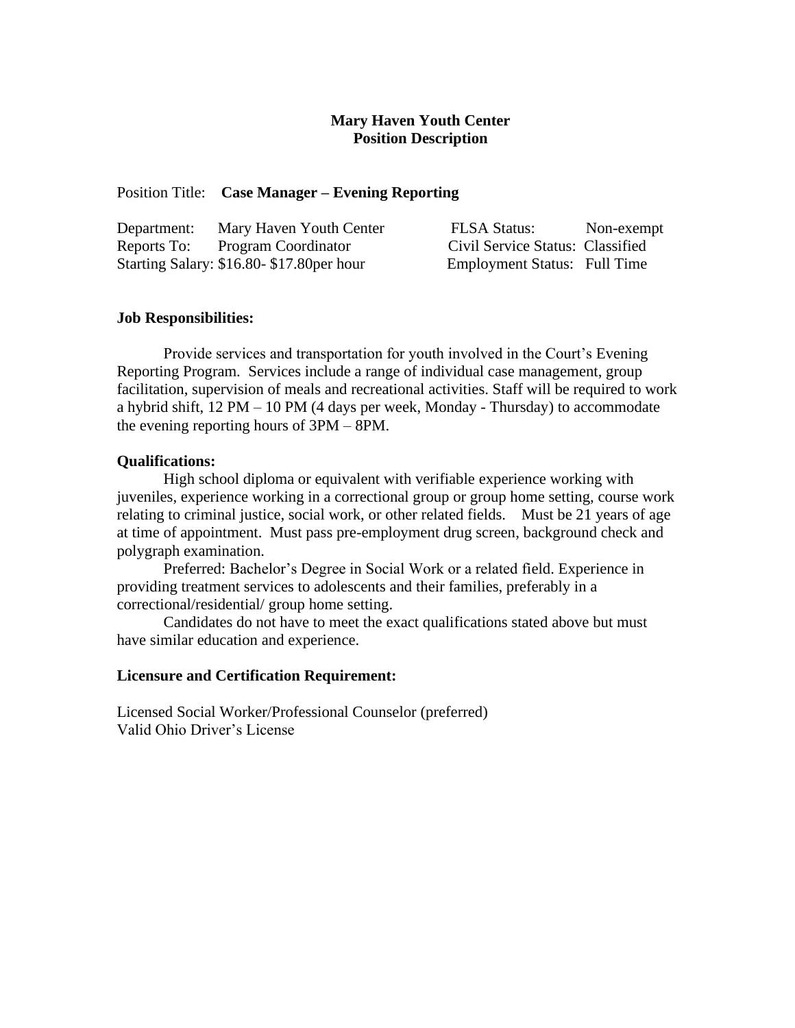### **Mary Haven Youth Center Position Description**

#### Position Title: **Case Manager – Evening Reporting**

| Department: | Mary Haven Youth Center                   | <b>FLSA Status:</b>                 | Non-exempt |
|-------------|-------------------------------------------|-------------------------------------|------------|
|             | Reports To: Program Coordinator           | Civil Service Status: Classified    |            |
|             | Starting Salary: \$16.80-\$17.80 per hour | <b>Employment Status:</b> Full Time |            |

#### **Job Responsibilities:**

Provide services and transportation for youth involved in the Court's Evening Reporting Program. Services include a range of individual case management, group facilitation, supervision of meals and recreational activities. Staff will be required to work a hybrid shift,  $12 PM - 10 PM$  (4 days per week, Monday - Thursday) to accommodate the evening reporting hours of 3PM – 8PM.

#### **Qualifications:**

High school diploma or equivalent with verifiable experience working with juveniles, experience working in a correctional group or group home setting, course work relating to criminal justice, social work, or other related fields. Must be 21 years of age at time of appointment. Must pass pre-employment drug screen, background check and polygraph examination.

 Preferred: Bachelor's Degree in Social Work or a related field. Experience in providing treatment services to adolescents and their families, preferably in a correctional/residential/ group home setting.

 Candidates do not have to meet the exact qualifications stated above but must have similar education and experience.

#### **Licensure and Certification Requirement:**

Licensed Social Worker/Professional Counselor (preferred) Valid Ohio Driver's License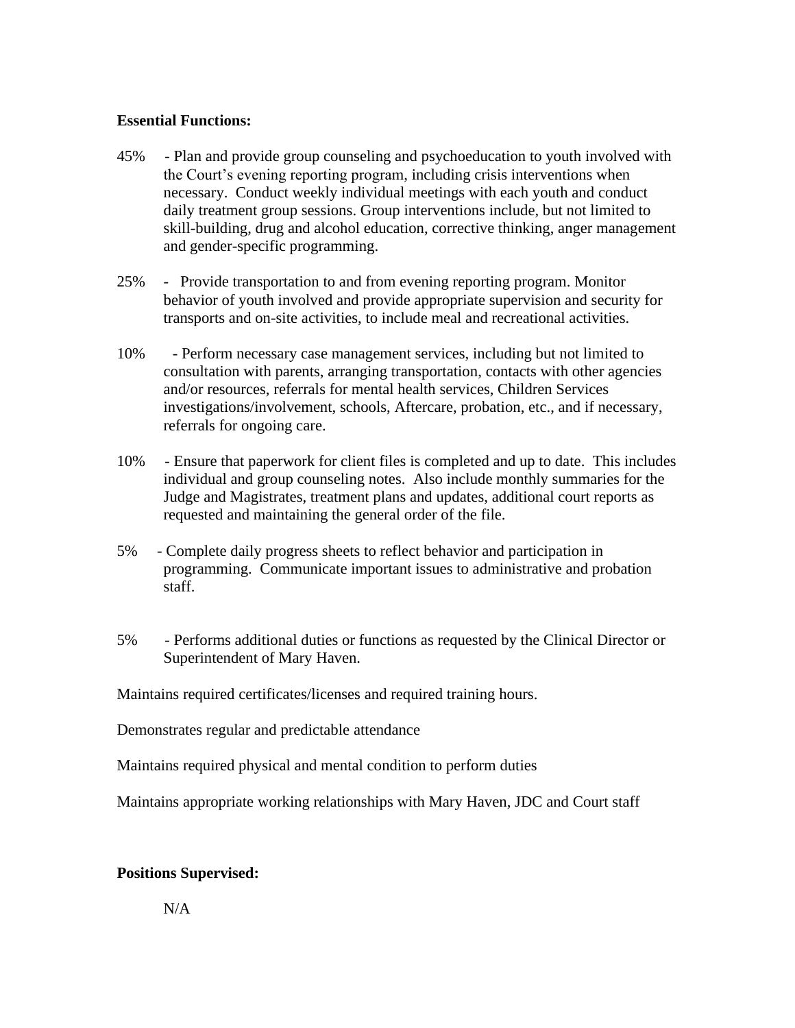#### **Essential Functions:**

- 45% Plan and provide group counseling and psychoeducation to youth involved with the Court's evening reporting program, including crisis interventions when necessary. Conduct weekly individual meetings with each youth and conduct daily treatment group sessions. Group interventions include, but not limited to skill-building, drug and alcohol education, corrective thinking, anger management and gender-specific programming.
- 25% Provide transportation to and from evening reporting program. Monitor behavior of youth involved and provide appropriate supervision and security for transports and on-site activities, to include meal and recreational activities.
- 10% Perform necessary case management services, including but not limited to consultation with parents, arranging transportation, contacts with other agencies and/or resources, referrals for mental health services, Children Services investigations/involvement, schools, Aftercare, probation, etc., and if necessary, referrals for ongoing care.
- 10% Ensure that paperwork for client files is completed and up to date. This includes individual and group counseling notes. Also include monthly summaries for the Judge and Magistrates, treatment plans and updates, additional court reports as requested and maintaining the general order of the file.
- 5% Complete daily progress sheets to reflect behavior and participation in programming. Communicate important issues to administrative and probation staff.
- 5% Performs additional duties or functions as requested by the Clinical Director or Superintendent of Mary Haven.

Maintains required certificates/licenses and required training hours.

Demonstrates regular and predictable attendance

Maintains required physical and mental condition to perform duties

Maintains appropriate working relationships with Mary Haven, JDC and Court staff

### **Positions Supervised:**

N/A